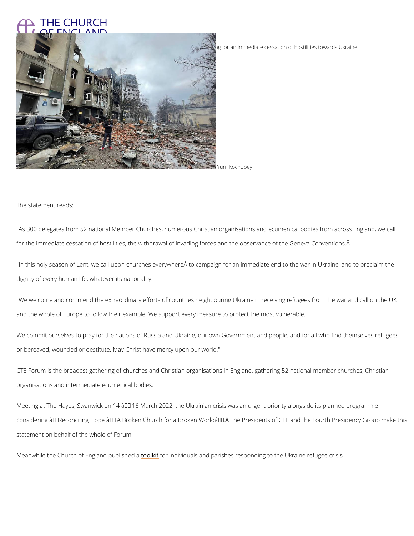## THE CHURCH **OF ENGLAND**

Leaders of 52 national churches have made a statement on behalf of members calling for an immediate c

Yurii Kochubey

The statement reads:

"As 300 delegates from 52 national Member Churches, numerous Christian organisations and for the immediate cessation of hostilities, the withdrawal of invading forces and the observa

"In this holy season of Lent, we call upon churches everywhere to campaign for an immedia dignity of every human life, whatever its nationality.

"We welcome and commend the extraordinary efforts of countries neighbouring Ukraine in rec and the whole of Europe to follow their example. We support every measure to protect the mo

We commit ourselves to pray for the nations of Russia and Ukraine, our own Government and or bereaved, wounded or destitute. May Christ have mercy upon our world."

CTE Forum is the broadest gathering of churches and Christian organisations in England, gat organisations and intermediate ecumenical bodies.

Meeting at The Hayes, Swanwick on 14  $\hat{a} \in$  "16 March 2022, the Ukrainian crisis was an urgen

considering â€~Reconciling Hope — A Broken Church for a Broken World'. The Preside

statement on behalf of the whole of Forum.

Meanwhile the Church of Eng[land](/resources/community-action/war-ukraine-responding) kpt a blirschiev dida als and parishes responding to the Ukraine refu